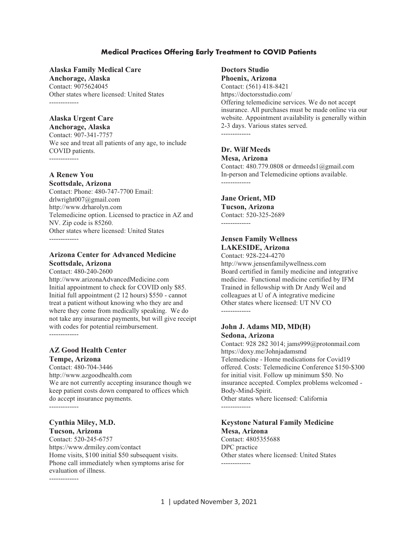### **Medical Practices Offering Early Treatment to COVID Patients**

#### **Alaska Family Medical Care**

**Anchorage, Alaska**  Contact: 9075624045 Other states where licensed: United States -------------

#### **Alaska Urgent Care Anchorage, Alaska**

Contact: 907-341-7757 We see and treat all patients of any age, to include COVID patients. -------------

**A Renew You** 

**Scottsdale, Arizona**  Contact: Phone: 480-747-7700 Email: drlwright007@gmail.com http://www.drharolyn.com Telemedicine option. Licensed to practice in AZ and NV. Zip code is 85260. Other states where licensed: United States -------------

### **Arizona Center for Advanced Medicine Scottsdale, Arizona**

Contact: 480-240-2600 http://www.arizonaAdvancedMedicine.com Initial appointment to check for COVID only \$85. Initial full appointment (2 12 hours) \$550 - cannot treat a patient without knowing who they are and where they come from medically speaking. We do not take any insurance payments, but will give receipt with codes for potential reimbursement. -------------

**AZ Good Health Center Tempe, Arizona** 

Contact: 480-704-3446 http://www.azgoodhealth.com We are not currently accepting insurance though we keep patient costs down compared to offices which do accept insurance payments.

-------------

### **Cynthia Miley, M.D. Tucson, Arizona**

Contact: 520-245-6757 https://www.drmiley.com/contact Home visits, \$100 initial \$50 subsequent visits. Phone call immediately when symptoms arise for evaluation of illness. -------------

### **Doctors Studio Phoenix, Arizona**

Contact: (561) 418-8421 https://doctorsstudio.com/ Offering telemedicine services. We do not accept insurance. All purchases must be made online via our website. Appointment availability is generally within 2-3 days. Various states served. -------------

### **Dr. Wilf Meeds Mesa, Arizona**

Contact: 480.779.0808 or drmeeds1@gmail.com In-person and Telemedicine options available. -------------

### **Jane Orient, MD**

**Tucson, Arizona**  Contact: 520-325-2689 -------------

### **Jensen Family Wellness LAKESIDE, Arizona**

Contact: 928-224-4270 http://www.jensenfamilywellness.com Board certified in family medicine and integrative medicine. Functional medicine certified by IFM Trained in fellowship with Dr Andy Weil and colleagues at U of A integrative medicine Other states where licensed: UT NV CO

### **John J. Adams MD, MD(H) Sedona, Arizona**

Contact: 928 282 3014; jams999@protonmail.com https://doxy.me/Johnjadamsmd Telemedicine - Home medications for Covid19 offered. Costs: Telemedicine Conference \$150-\$300 for initial visit. Follow up minimum \$50. No insurance accepted. Complex problems welcomed - Body-Mind-Spirit. Other states where licensed: California -------------

### **Keystone Natural Family Medicine Mesa, Arizona**

Contact: 4805355688 DPC practice Other states where licensed: United States -------------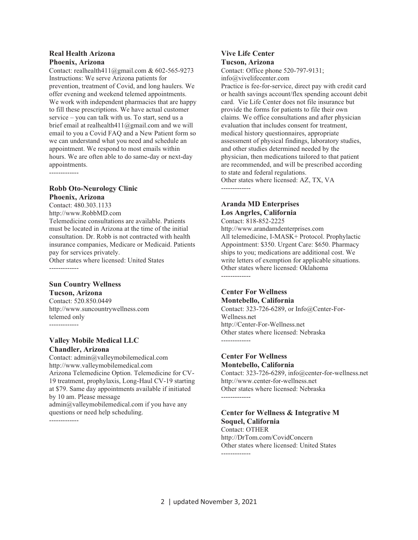#### **Real Health Arizona Phoenix, Arizona**

Contact: realhealth411@gmail.com & 602-565-9273 Instructions: We serve Arizona patients for prevention, treatment of Covid, and long haulers. We offer evening and weekend telemed appointments. We work with independent pharmacies that are happy to fill these prescriptions. We have actual customer service – you can talk with us. To start, send us a brief email at realhealth411@gmail.com and we will email to you a Covid FAQ and a New Patient form so we can understand what you need and schedule an appointment. We respond to most emails within hours. We are often able to do same-day or next-day appointments. -------------

### **Robb Oto-Neurology Clinic Phoenix, Arizona**

Contact: 480.303.1133 http://www.RobbMD.com Telemedicine consultations are available. Patients must be located in Arizona at the time of the initial consultation. Dr. Robb is not contracted with health insurance companies, Medicare or Medicaid. Patients pay for services privately. Other states where licensed: United States -------------

### **Sun Country Wellness**

**Tucson, Arizona** 

Contact: 520.850.0449 http://www.suncountrywellness.com telemed only -------------

### **Valley Mobile Medical LLC Chandler, Arizona**

Contact: admin@valleymobilemedical.com http://www.valleymobilemedical.com Arizona Telemedicine Option. Telemedicine for CV-19 treatment, prophylaxis, Long-Haul CV-19 starting at \$79. Same day appointments available if initiated by 10 am. Please message admin@valleymobilemedical.com if you have any questions or need help scheduling. -------------

#### **Vive Life Center Tucson, Arizona**

Contact: Office phone 520-797-9131;

info@vivelifecenter.com

Practice is fee-for-service, direct pay with credit card or health savings account/flex spending account debit card. Vie Life Center does not file insurance but provide the forms for patients to file their own claims. We office consultations and after physician evaluation that includes consent for treatment, medical history questionnaires, appropriate assessment of physical findings, laboratory studies, and other studies determined needed by the physician, then medications tailored to that patient are recommended, and will be prescribed according to state and federal regulations. Other states where licensed: AZ, TX, VA -------------

### **Aranda MD Enterprises Los Angrles, California**

Contact: 818-852-2225 http://www.arandamdenterprises.com All telemedicine, I-MASK+ Protocol. Prophylactic Appointment: \$350. Urgent Care: \$650. Pharmacy ships to you; medications are additional cost. We write letters of exemption for applicable situations. Other states where licensed: Oklahoma -------------

### **Center For Wellness Montebello, California**

Contact: 323-726-6289, or Info@Center-For-Wellness.net http://Center-For-Wellness.net Other states where licensed: Nebraska -------------

### **Center For Wellness Montebello, California**

Contact: 323-726-6289, info@center-for-wellness.net http://www.center-for-wellness.net Other states where licensed: Nebraska -------------

### **Center for Wellness & Integrative M Soquel, California**

Contact: OTHER http://DrTom.com/CovidConcern Other states where licensed: United States -------------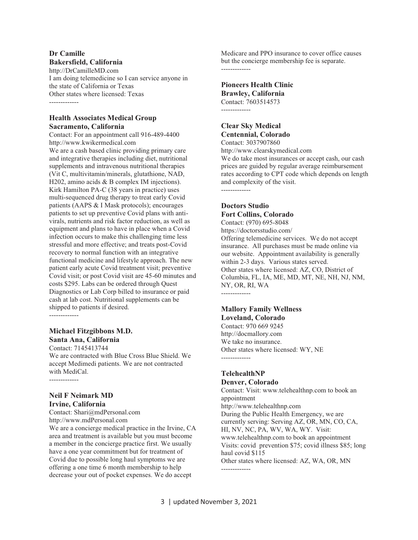#### **Dr Camille Bakersfield, California**

http://DrCamilleMD.com I am doing telemedicine so I can service anyone in the state of California or Texas Other states where licensed: Texas -------------

### **Health Associates Medical Group Sacramento, California**

Contact: For an appointment call 916-489-4400 http://www.kwikermedical.com

We are a cash based clinic providing primary care and integrative therapies including diet, nutritional supplements and intravenous nutritional therapies (Vit C, multivitamin/minerals, glutathione, NAD, H202, amino acids & B complex IM injections). Kirk Hamilton PA-C (38 years in practice) uses multi-sequenced drug therapy to treat early Covid patients (AAPS & I Mask protocols); encourages patients to set up preventive Covid plans with antivirals, nutrients and risk factor reduction, as well as equipment and plans to have in place when a Covid infection occurs to make this challenging time less stressful and more effective; and treats post-Covid recovery to normal function with an integrative functional medicine and lifestyle approach. The new patient early acute Covid treatment visit; preventive Covid visit; or post Covid visit are 45-60 minutes and costs \$295. Labs can be ordered through Quest Diagnostics or Lab Corp billed to insurance or paid cash at lab cost. Nutritional supplements can be shipped to patients if desired.

-------------

### **Michael Fitzgibbons M.D. Santa Ana, California**

Contact: 7145413744 We are contracted with Blue Cross Blue Shield. We accept Medimedi patients. We are not contracted with MediCal. -------------

### **Neil F Neimark MD Irvine, California**

Contact: Shari@mdPersonal.com http://www.mdPersonal.com

We are a concierge medical practice in the Irvine, CA area and treatment is available but you must become a member in the concierge practice first. We usually have a one year commitment but for treatment of Covid due to possible long haul symptoms we are offering a one time 6 month membership to help decrease your out of pocket expenses. We do accept

Medicare and PPO insurance to cover office causes but the concierge membership fee is separate. -------------

### **Pioneers Health Clinic Brawley, California**  Contact: 7603514573

-------------

### **Clear Sky Medical Centennial, Colorado**  Contact: 3037907860

http://www.clearskymedical.com

We do take most insurances or accept cash, our cash prices are guided by regular average reimbursement rates according to CPT code which depends on length and complexity of the visit. -------------

### **Doctors Studio Fort Collins, Colorado**

Contact: (970) 695-8048 https://doctorsstudio.com/ Offering telemedicine services. We do not accept insurance. All purchases must be made online via our website. Appointment availability is generally within 2-3 days. Various states served. Other states where licensed: AZ, CO, District of Columbia, FL, IA, ME, MD, MT, NE, NH, NJ, NM, NY, OR, RI, WA -------------

### **Mallory Family Wellness Loveland, Colorado**

Contact: 970 669 9245 http://docmallory.com We take no insurance. Other states where licensed: WY, NE -------------

### **TelehealthNP Denver, Colorado**

Contact: Visit: www.telehealthnp.com to book an appointment http://www.telehealthnp.com During the Public Health Emergency, we are currently serving: Serving AZ, OR, MN, CO, CA, HI, NV, NC, PA, WV, WA, WY. Visit: www.telehealthnp.com to book an appointment Visits: covid prevention \$75; covid illness \$85; long haul covid \$115 Other states where licensed: AZ, WA, OR, MN -------------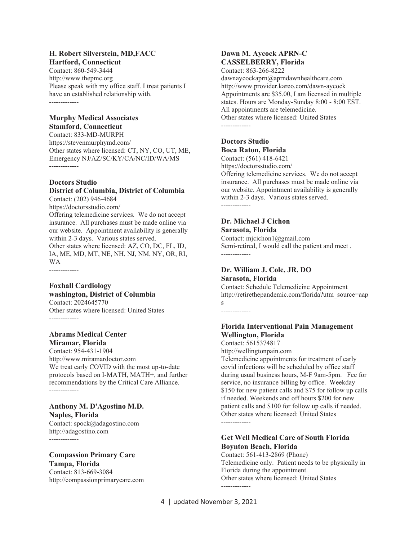#### **H. Robert Silverstein, MD,FACC Hartford, Connecticut**

Contact: 860-549-3444 http://www.thepmc.org Please speak with my office staff. I treat patients I have an established relationship with. -------------

### **Murphy Medical Associates Stamford, Connecticut**

Contact: 833-MD-MURPH https://stevenmurphymd.com/ Other states where licensed: CT, NY, CO, UT, ME, Emergency NJ/AZ/SC/KY/CA/NC/ID/WA/MS -------------

### **Doctors Studio**

#### **District of Columbia, District of Columbia**  Contact: (202) 946-4684

https://doctorsstudio.com/

Offering telemedicine services. We do not accept insurance. All purchases must be made online via our website. Appointment availability is generally within 2-3 days. Various states served. Other states where licensed: AZ, CO, DC, FL, ID, IA, ME, MD, MT, NE, NH, NJ, NM, NY, OR, RI,

WA -------------

### **Foxhall Cardiology washington, District of Columbia**  Contact: 2024645770

Other states where licensed: United States -------------

#### **Abrams Medical Center Miramar, Florida**

Contact: 954-431-1904 http://www.miramardoctor.com We treat early COVID with the most up-to-date protocols based on I-MATH, MATH+, and further recommendations by the Critical Care Alliance. -------------

### **Anthony M. D'Agostino M.D. Naples, Florida**  Contact: spock@adagostino.com

http://adagostino.com -------------

## **Compassion Primary Care**

**Tampa, Florida**  Contact: 813-669-3084 http://compassionprimarycare.com

### **Dawn M. Aycock APRN-C CASSELBERRY, Florida**

Contact: 863-266-8222 dawnaycockaprn@aprndawnhealthcare.com http://www.provider.kareo.com/dawn-aycock Appointments are \$35.00, I am licensed in multiple states. Hours are Monday-Sunday 8:00 - 8:00 EST. All appointments are telemedicine. Other states where licensed: United States -------------

### **Doctors Studio Boca Raton, Florida**

Contact: (561) 418-6421

https://doctorsstudio.com/ Offering telemedicine services. We do not accept insurance. All purchases must be made online via our website. Appointment availability is generally within 2-3 days. Various states served. -------------

#### **Dr. Michael J Cichon Sarasota, Florida**

Contact: mjcichon1@gmail.com Semi-retired, I would call the patient and meet . -------------

#### **Dr. William J. Cole, JR. DO Sarasota, Florida**

Contact: Schedule Telemedicine Appointment http://retirethepandemic.com/florida?utm\_source=aap s

-------------

### **Florida Interventional Pain Management Wellington, Florida**

Contact: 5615374817 http://wellingtonpain.com

Telemedicine appointments for treatment of early covid infections will be scheduled by office staff during usual business hours, M-F 9am-5pm. Fee for service, no insurance billing by office. Weekday \$150 for new patient calls and \$75 for follow up calls if needed. Weekends and off hours \$200 for new patient calls and \$100 for follow up calls if needed. Other states where licensed: United States -------------

### **Get Well Medical Care of South Florida Boynton Beach, Florida**

Contact: 561-413-2869 (Phone) Telemedicine only. Patient needs to be physically in Florida during the appointment. Other states where licensed: United States -------------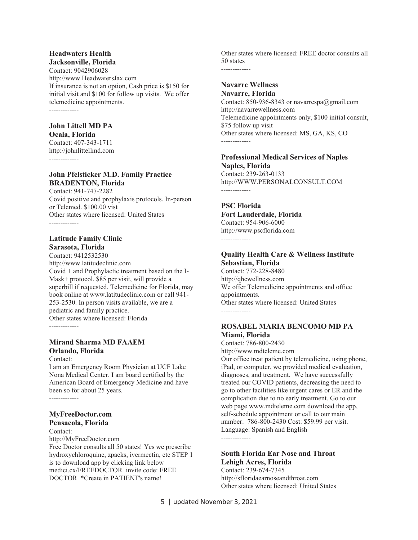#### **Headwaters Health Jacksonville, Florida**

Contact: 9042906028 http://www.HeadwatersJax.com If insurance is not an option, Cash price is \$150 for initial visit and \$100 for follow up visits. We offer telemedicine appointments. -------------

### **John Littell MD PA**

**Ocala, Florida** 

Contact: 407-343-1711 http://johnlittellmd.com -------------

### **John Pfelsticker M.D. Family Practice BRADENTON, Florida**

Contact: 941-747-2282 Covid positive and prophylaxis protocols. In-person or Telemed. \$100.00 vist Other states where licensed: United States

### **Latitude Family Clinic Sarasota, Florida**

Contact: 9412532530 http://www.latitudeclinic.com Covid + and Prophylactic treatment based on the I-Mask+ protocol. \$85 per visit, will provide a superbill if requested. Telemedicine for Florida, may book online at www.latitudeclinic.com or call 941- 253-2530. In person visits available, we are a pediatric and family practice. Other states where licensed: Florida -------------

### **Mirand Sharma MD FAAEM Orlando, Florida**

Contact:

I am an Emergency Room Physician at UCF Lake Nona Medical Center. I am board certified by the American Board of Emergency Medicine and have been so for about 25 years. -------------

# **MyFreeDoctor.com**

**Pensacola, Florida** 

Contact:

http://MyFreeDoctor.com

Free Doctor consults all 50 states! Yes we prescribe hydroxychloroquine, zpacks, ivermectin, etc STEP 1 is to download app by clicking link below medici.cx/FREEDOCTOR invite code: FREE DOCTOR \*Create in PATIENT's name!

Other states where licensed: FREE doctor consults all 50 states -------------

### **Navarre Wellness Navarre, Florida**

Contact: 850-936-8343 or navarrespa@gmail.com http://navarrewellness.com Telemedicine appointments only, \$100 initial consult, \$75 follow up visit Other states where licensed: MS, GA, KS, CO -------------

### **Professional Medical Services of Naples Naples, Florida**  Contact: 239-263-0133

http://WWW.PERSONALCONSULT.COM -------------

### **PSC Florida Fort Lauderdale, Florida**

Contact: 954-906-6000 http://www.pscflorida.com -------------

### **Quality Health Care & Wellness Institute Sebastian, Florida**

Contact: 772-228-8480 http://qhcwellness.com We offer Telemedicine appointments and office appointments. Other states where licensed: United States -------------

### **ROSABEL MARIA BENCOMO MD PA Miami, Florida**

Contact: 786-800-2430 http://www.mdteleme.com

Our office treat patient by telemedicine, using phone, iPad, or computer, we provided medical evaluation, diagnoses, and treatment. We have successfully treated our COVID patients, decreasing the need to go to other facilities like urgent cares or ER and the complication due to no early treatment. Go to our web page www.mdteleme.com download the app, self-schedule appointment or call to our main number: 786-800-2430 Cost: \$59.99 per visit. Language: Spanish and English -------------

### **South Florida Ear Nose and Throat Lehigh Acres, Florida**

Contact: 239-674-7345 http://sfloridaearnoseandthroat.com Other states where licensed: United States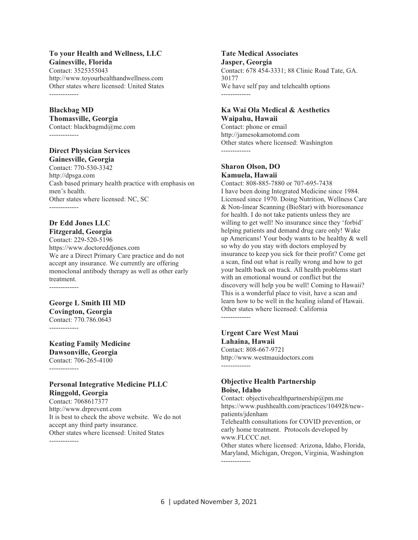### **To your Health and Wellness, LLC Gainesville, Florida**

Contact: 3525355043 http://www.toyourhealthandwellness.com Other states where licensed: United States -------------

### **Blackbag MD**

#### **Thomasville, Georgia**

Contact: blackbagmd@me.com -------------

#### **Direct Physician Services Gainesville, Georgia**

Contact: 770-530-3342 http://dpsga.com Cash based primary health practice with emphasis on men's health. Other states where licensed: NC, SC -------------

### **Dr Edd Jones LLC Fitzgerald, Georgia**

Contact: 229-520-5196 https://www.doctoreddjones.com We are a Direct Primary Care practice and do not accept any insurance. We currently are offering monoclonal antibody therapy as well as other early treatment. -------------

### **George L Smith III MD**

**Covington, Georgia**  Contact: 770.786.0643 -------------

**Keating Family Medicine Dawsonville, Georgia**  Contact: 706-265-4100 -------------

### **Personal Integrative Medicine PLLC Ringgold, Georgia**

Contact: 7068617377 http://www.drprevent.com It is best to check the above website. We do not accept any third party insurance. Other states where licensed: United States -------------

### **Tate Medical Associates**

**Jasper, Georgia**  Contact: 678 454-3331; 88 Clinic Road Tate, GA. 30177 We have self pay and telehealth options -------------

#### **Ka Wai Ola Medical & Aesthetics Waipahu, Hawaii**

Contact: phone or email http://jamesokamotomd.com Other states where licensed: Washington -------------

### **Sharon Olson, DO Kamuela, Hawaii**

Contact: 808-885-7880 or 707-695-7438 I have been doing Integrated Medicine since 1984. Licensed since 1970. Doing Nutrition, Wellness Care & Non-linear Scanning (BioStar) with bioresonance for health. I do not take patients unless they are willing to get well! No insurance since they 'forbid' helping patients and demand drug care only! Wake up Americans! Your body wants to be healthy & well so why do you stay with doctors employed by insurance to keep you sick for their profit? Come get a scan, find out what is really wrong and how to get your health back on track. All health problems start with an emotional wound or conflict but the discovery will help you be well! Coming to Hawaii? This is a wonderful place to visit, have a scan and learn how to be well in the healing island of Hawaii. Other states where licensed: California -------------

### **Urgent Care West Maui Lahaina, Hawaii**

Contact: 808-667-9721 http://www.westmauidoctors.com -------------

### **Objective Health Partnership Boise, Idaho**

Contact: objectivehealthpartnership@pm.me https://www.pushhealth.com/practices/104928/newpatients/jdenham Telehealth consultations for COVID prevention, or early home treatment. Protocols developed by www.FLCCC.net. Other states where licensed: Arizona, Idaho, Florida, Maryland, Michigan, Oregon, Virginia, Washington -------------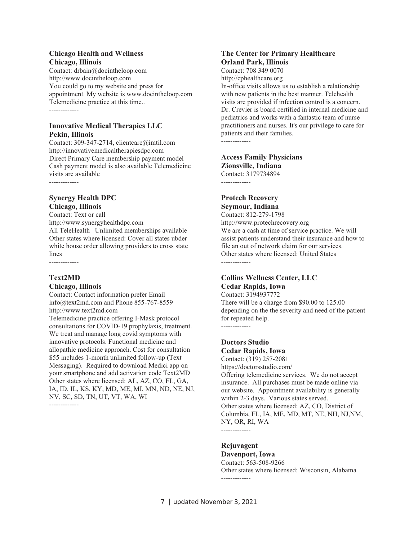#### **Chicago Health and Wellness Chicago, Illinois**

Contact: drbain@docintheloop.com http://www.docintheloop.com You could go to my website and press for appointment. My website is www.docintheloop.com Telemedicine practice at this time.. -------------

### **Innovative Medical Therapies LLC Pekin, Illinois**

Contact: 309-347-2714, clientcare@imtil.com http://innovativemedicaltherapiesdpc.com Direct Primary Care membership payment model Cash payment model is also available Telemedicine visits are available -------------

### **Synergy Health DPC Chicago, Illinois**

Contact: Text or call

http://www.synergyhealthdpc.com All TeleHealth Unlimited memberships available Other states where licensed: Cover all states ubder white house order allowing providers to cross state lines

-------------

### **Text2MD**

#### **Chicago, Illinois**

Contact: Contact information prefer Email info@text2md.com and Phone 855-767-8559 http://www.text2md.com

Telemedicine practice offering I-Mask protocol consultations for COVID-19 prophylaxis, treatment. We treat and manage long covid symptoms with innovative protocols. Functional medicine and allopathic medicine approach. Cost for consultation \$55 includes 1-month unlimited follow-up (Text Messaging). Required to download Medici app on your smartphone and add activation code Text2MD Other states where licensed: AL, AZ, CO, FL, GA, IA, ID, IL, KS, KY, MD, ME, MI, MN, ND, NE, NJ, NV, SC, SD, TN, UT, VT, WA, WI -------------

#### **The Center for Primary Healthcare Orland Park, Illinois**

Contact: 708 349 0070 http://cphealthcare.org In-office visits allows us to establish a relationship with new patients in the best manner. Telehealth visits are provided if infection control is a concern. Dr. Crevier is board certified in internal medicine and pediatrics and works with a fantastic team of nurse practitioners and nurses. It's our privilege to care for patients and their families. -------------

#### **Access Family Physicians Zionsville, Indiana**

Contact: 3179734894 -------------

### **Protech Recovery Seymour, Indiana**

Contact: 812-279-1798 http://www.protechrecovery.org We are a cash at time of service practice. We will assist patients understand their insurance and how to file an out of network claim for our services. Other states where licensed: United States -------------

### **Collins Wellness Center, LLC Cedar Rapids, Iowa**

Contact: 3194937772 There will be a charge from \$90.00 to 125.00 depending on the the severity and need of the patient for repeated help. -------------

### **Doctors Studio Cedar Rapids, Iowa**

Contact: (319) 257-2081 https://doctorsstudio.com/ Offering telemedicine services. We do not accept insurance. All purchases must be made online via our website. Appointment availability is generally within 2-3 days. Various states served. Other states where licensed: AZ, CO, District of Columbia, FL, IA, ME, MD, MT, NE, NH, NJ,NM, NY, OR, RI, WA

-------------

### **Rejuvagent**

**Davenport, Iowa**  Contact: 563-508-9266 Other states where licensed: Wisconsin, Alabama -------------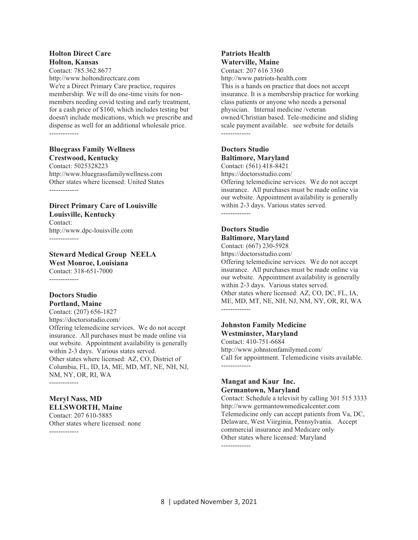#### **Holton Direct Care Holton, Kansas**

Contact: 785.362.8677 http://www.holtondirectcare.com We're a Direct Primary Care practice, requires membership. We will do one-time visits for nonmembers needing covid testing and early treatment, for a cash price of \$160, which includes testing but doesn't include medications, which we prescribe and dispense as well for an additional wholesale price. -------------

#### **Bluegrass Family Wellness Crestwood, Kentucky**

Contact: 5025328223 http://www.bluegrassfamilywellness.com Other states where licensed: United States -------------

### **Direct Primary Care of Louisville Louisville, Kentucky**  Contact:

http://www.dpc-louisville.com -------------

**Steward Medical Group NEELA West Monroe, Louisiana**  Contact: 318-651-7000 -------------

#### **Doctors Studio Portland, Maine**

Contact: (207) 656-1827 https://doctorsstudio.com/ Offering telemedicine services. We do not accept insurance. All purchases must be made online via our website. Appointment availability is generally within 2-3 days. Various states served. Other states where licensed: AZ, CO, District of Columbia, FL, ID, IA, ME, MD, MT, NE, NH, NJ, NM, NY, OR, RI, WA

-------------

#### **Meryl Nass, MD ELLSWORTH, Maine**

Contact: 207 610-5885 Other states where licensed: none -------------

### **Patriots Health Waterville, Maine**

Contact: 207 616 3360 http://www.patriots-health.com This is a hands on practice that does not accept insurance. It is a membership practice for working class patients or anyone who needs a personal physician. Internal medicine /veteran owned/Christian based. Tele-medicine and sliding scale payment available. see website for details -------------

### **Doctors Studio Baltimore, Maryland**

Contact: (561) 418-8421

https://doctorsstudio.com/

Offering telemedicine services. We do not accept insurance. All purchases must be made online via our website. Appointment availability is generally within 2-3 days. Various states served. -------------

### **Doctors Studio Baltimore, Maryland**

Contact: (667) 230-5928 https://doctorsstudio.com/

Offering telemedicine services. We do not accept insurance. All purchases must be made online via our website. Appointment availability is generally within 2-3 days. Various states served. Other states where licensed: AZ, CO, DC, FL, IA, ME, MD, MT, NE, NH, NJ, NM, NY, OR, RI, WA -------------

### **Johnston Family Medicine Westminster, Maryland**

Contact: 410-751-6684 http://www.johnstonfamilymed.com/ Call for appointment. Telemedicine visits available. -------------

### **Mangat and Kaur Inc. Germantown, Maryland**

Contact: Schedule a televisit by calling 301 515 3333 http://www.germantownmedicalcenter.com Telemedicine only can accept patients from Va, DC, Delaware, West Viirginia, Pennsylvania. Accept commercial insurance and Medicare only Other states where licensed: Maryland -------------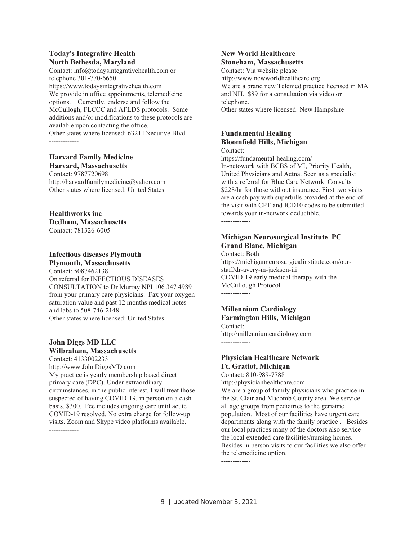### **Today's Integrative Health North Bethesda, Maryland**

Contact: info@todaysintegrativehealth.com or telephone 301-770-6650 https://www.todaysintegrativehealth.com We provide in office appointments, telemedicine options. Currently, endorse and follow the McCullogh, FLCCC and AFLDS protocols. Some additions and/or modifications to these protocols are available upon contacting the office. Other states where licensed: 6321 Executive Blvd

-------------

#### **Harvard Family Medicine Harvard, Massachusetts**

Contact: 9787720698 http://harvardfamilymedicine@yahoo.com Other states where licensed: United States -------------

### **Healthworks inc Dedham, Massachusetts**

Contact: 781326-6005 -------------

### **Infectious diseases Plymouth Plymouth, Massachusetts**

Contact: 5087462138 On referral for INFECTIOUS DISEASES CONSULTATION to Dr Murray NPI 106 347 4989 from your primary care physicians. Fax your oxygen saturation value and past 12 months medical notes and labs to 508-746-2148. Other states where licensed: United States -------------

### **John Diggs MD LLC Wilbraham, Massachusetts**

Contact: 4133002233 http://www.JohnDiggsMD.com My practice is yearly membership based direct primary care (DPC). Under extraordinary circumstances, in the public interest, I will treat those suspected of having COVID-19, in person on a cash basis. \$300. Fee includes ongoing care until acute COVID-19 resolved. No extra charge for follow-up visits. Zoom and Skype video platforms available. -------------

#### **New World Healthcare Stoneham, Massachusetts**

Contact: Via website please http://www.newworldhealthcare.org We are a brand new Telemed practice licensed in MA and NH. \$89 for a consultation via video or telephone. Other states where licensed: New Hampshire -------------

### **Fundamental Healing Bloomfield Hills, Michigan**

Contact: https://fundamental-healing.com/ In-netowork with BCBS of MI, Priority Health, United Physicians and Aetna. Seen as a specialist with a referral for Blue Care Network. Consults \$228/hr for those without insurance. First two visits are a cash pay with superbills provided at the end of the visit with CPT and ICD10 codes to be submitted towards your in-network deductible. -------------

### **Michigan Neurosurgical Institute PC Grand Blanc, Michigan**

Contact: Both https://michiganneurosurgicalinstitute.com/ourstaff/dr-avery-m-jackson-iii COVID-19 early medical therapy with the McCullough Protocol -------------

### **Millennium Cardiology Farmington Hills, Michigan**

Contact: http://millenniumcardiology.com -------------

### **Physician Healthcare Network Ft. Gratiot, Michigan**

Contact: 810-989-7788 http://physicianhealthcare.com We are a group of family physicians who practice in the St. Clair and Macomb County area. We service all age groups from pediatrics to the geriatric population. Most of our facilities have urgent care departments along with the family practice . Besides our local practices many of the doctors also service the local extended care facilities/nursing homes. Besides in person visits to our facilities we also offer the telemedicine option.

-------------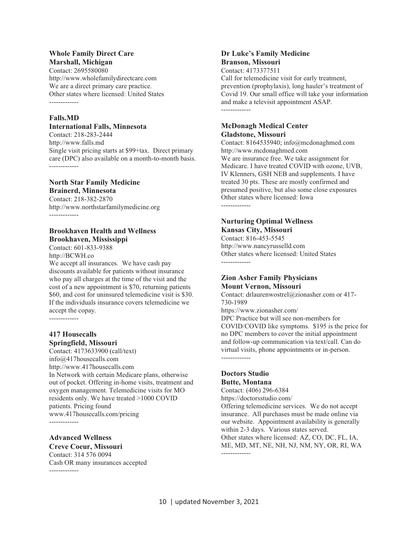### **Whole Family Direct Care Marshall, Michigan**

Contact: 2695580080 http://www.wholefamilydirectcare.com We are a direct primary care practice. Other states where licensed: United States -------------

### **Falls.MD**

### **International Falls, Minnesota**

Contact: 218-283-2444 http://www.falls.md Single visit pricing starts at \$99+tax. Direct primary care (DPC) also available on a month-to-month basis. -------------

### **North Star Family Medicine Brainerd, Minnesota**

Contact: 218-382-2870 http://www.northstarfamilymedicine.org -------------

### **Brookhaven Health and Wellness Brookhaven, Mississippi**

Contact: 601-833-9388 http://BCWH.co We accept all insurances. We have cash pay discounts available for patients without insurance who pay all charges at the time of the visit and the cost of a new appointment is \$70, returning patients \$60, and cost for uninsured telemedicine visit is \$30. If the individuals insurance covers telemedicine we accept the copay.

-------------

### **417 Housecalls Springfield, Missouri**

Contact: 4173633900 (call/text) info@417housecalls.com http://www.417housecalls.com In Network with certain Medicare plans, otherwise out of pocket. Offering in-home visits, treatment and oxygen management. Telemedicine visits for MO residents only. We have treated >1000 COVID patients. Pricing found www.417housecalls.com/pricing

-------------

## **Advanced Wellness**

**Creve Coeur, Missouri**  Contact: 314 576 0094 Cash OR many insurances accepted -------------

#### **Dr Luke's Family Medicine Branson, Missouri**

Contact: 4173377511 Call for telemedicine visit for early treatment, prevention (prophylaxis), long hauler's treatment of Covid 19. Our small office will take your information and make a televisit appointment ASAP. -------------

### **McDonagh Medical Center Gladstone, Missouri**

Contact: 8164535940; info@mcdonaghmed.com http://www.mcdonaghmed.com We are insurance free. We take assignment for Medicare. I have treated COVID with ozone, UVB, IV Klenners, GSH NEB and supplements. I have treated 30 pts. These are mostly confirmed and presumed positive, but also some close exposures Other states where licensed: Iowa -------------

### **Nurturing Optimal Wellness Kansas City, Missouri**

Contact: 816-453-5545 http://www.nancyrusselld.com Other states where licensed: United States -------------

### **Zion Asher Family Physicians Mount Vernon, Missouri**

Contact: drlaurenwostrel@zionasher.com or 417- 730-1989

https://www.zionasher.com/

DPC Practice but will see non-members for COVID/COVID like symptoms. \$195 is the price for no DPC members to cover the initial appointment and follow-up communication via text/call. Can do virtual visits, phone appointments or in-person. -------------

### **Doctors Studio Butte, Montana**

Contact: (406) 296-6384 https://doctorsstudio.com/

Offering telemedicine services. We do not accept insurance. All purchases must be made online via our website. Appointment availability is generally within 2-3 days. Various states served.

Other states where licensed: AZ, CO, DC, FL, IA, ME, MD, MT, NE, NH, NJ, NM, NY, OR, RI, WA -------------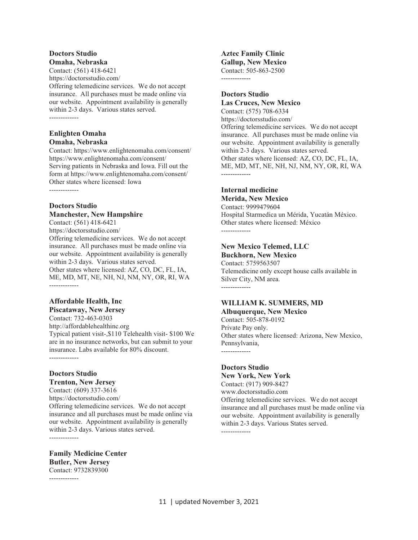#### **Doctors Studio Omaha, Nebraska**

Contact: (561) 418-6421 https://doctorsstudio.com/ Offering telemedicine services. We do not accept insurance. All purchases must be made online via our website. Appointment availability is generally within 2-3 days. Various states served. -------------

#### **Enlighten Omaha Omaha, Nebraska**

Contact: https://www.enlightenomaha.com/consent/ https://www.enlightenomaha.com/consent/ Serving patients in Nebraska and Iowa. Fill out the form at https://www.enlightenomaha.com/consent/ Other states where licensed: Iowa -------------

### **Doctors Studio Manchester, New Hampshire**

Contact: (561) 418-6421 https://doctorsstudio.com/ Offering telemedicine services. We do not accept insurance. All purchases must be made online via our website. Appointment availability is generally within 2-3 days. Various states served. Other states where licensed: AZ, CO, DC, FL, IA, ME, MD, MT, NE, NH, NJ, NM, NY, OR, RI, WA

-------------

## **Affordable Health, Inc**

**Piscataway, New Jersey**  Contact: 732-463-0303 http://affordablehealthinc.org Typical patient visit-,\$110 Telehealth visit- \$100 We are in no insurance networks, but can submit to your insurance. Labs available for 80% discount. -------------

### **Doctors Studio**

**Trenton, New Jersey**  Contact: (609) 337-3616 https://doctorsstudio.com/ Offering telemedicine services. We do not accept insurance and all purchases must be made online via our website. Appointment availability is generally within 2-3 days. Various states served.

**Family Medicine Center Butler, New Jersey**  Contact: 9732839300

-------------

-------------

**Aztec Family Clinic Gallup, New Mexico**  Contact: 505-863-2500 -------------

#### **Doctors Studio Las Cruces, New Mexico**

Contact: (575) 708-6334 https://doctorsstudio.com/ Offering telemedicine services. We do not accept insurance. All purchases must be made online via our website. Appointment availability is generally within 2-3 days. Various states served. Other states where licensed: AZ, CO, DC, FL, IA, ME, MD, MT, NE, NH, NJ, NM, NY, OR, RI, WA -------------

### **Internal medicine**

**Merida, New Mexico**  Contact: 9999479604 Hospital Starmedica un Mérida, Yucatán México. Other states where licensed: México -------------

### **New Mexico Telemed, LLC**

**Buckhorn, New Mexico**  Contact: 5759563507 Telemedicine only except house calls available in Silver City, NM area. -------------

### **WILLIAM K. SUMMERS, MD**

**Albuquerque, New Mexico**  Contact: 505-878-0192 Private Pay only. Other states where licensed: Arizona, New Mexico, Pennsylvania, -------------

### **Doctors Studio**

#### **New York, New York**

Contact: (917) 909-8427 www.doctorsstudio.com Offering telemedicine services. We do not accept insurance and all purchases must be made online via our website. Appointment availability is generally within 2-3 days. Various States served. -------------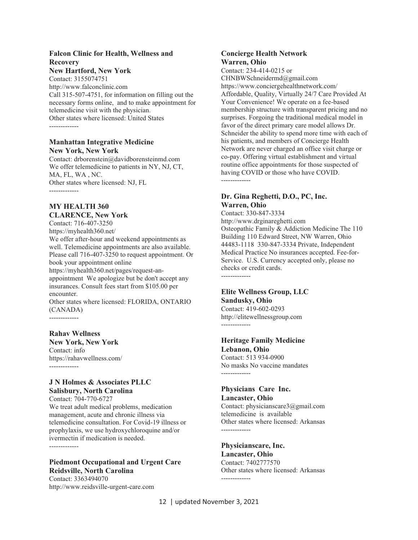### **Falcon Clinic for Health, Wellness and Recovery**

### **New Hartford, New York**

Contact: 3155074751 http://www.falconclinic.com Call 315-507-4751, for information on filling out the necessary forms online, and to make appointment for telemedicine visit with the physician. Other states where licensed: United States -------------

#### **Manhattan Integrative Medicine New York, New York**

Contact: drborenstein@davidborensteinmd.com We offer telemedicine to patients in NY, NJ, CT, MA, FL, WA , NC. Other states where licensed: NJ, FL -------------

#### **MY HEALTH 360 CLARENCE, New York**

Contact: 716-407-3250 https://myhealth360.net/ We offer after-hour and weekend appointments as well. Telemedicine appointments are also available. Please call 716-407-3250 to request appointment. Or book your appointment online https://myhealth360.net/pages/request-anappointment We apologize but be don't accept any insurances. Consult fees start from \$105.00 per encounter. Other states where licensed: FLORIDA, ONTARIO (CANADA)

-------------

### **Rahav Wellness**

**New York, New York**  Contact: info https://rahavwellness.com/ -------------

### **J N Holmes & Associates PLLC Salisbury, North Carolina**

Contact: 704-770-6727 We treat adult medical problems, medication management, acute and chronic illness via telemedicine consultation. For Covid-19 illness or prophylaxis, we use hydroxychloroquine and/or ivermectin if medication is needed. -------------

**Piedmont Occupational and Urgent Care Reidsville, North Carolina**  Contact: 3363494070

http://www.reidsville-urgent-care.com

### **Concierge Health Network Warren, Ohio**

Contact: 234-414-0215 or CHNBWSchneidermd@gmail.com https://www.conciergehealthnetwork.com/ Affordable, Quality, Virtually 24/7 Care Provided At Your Convenience! We operate on a fee-based membership structure with transparent pricing and no surprises. Forgoing the traditional medical model in favor of the direct primary care model allows Dr. Schneider the ability to spend more time with each of his patients, and members of Concierge Health Network are never charged an office visit charge or co-pay. Offering virtual establishment and virtual routine office appointments for those suspected of having COVID or those who have COVID. -------------

### **Dr. Gina Reghetti, D.O., PC, Inc. Warren, Ohio**

Contact: 330-847-3334 http://www.drginareghetti.com Osteopathic Family & Addiction Medicine The 110 Building 110 Edward Street, NW Warren, Ohio 44483-1118 330-847-3334 Private, Independent Medical Practice No insurances accepted. Fee-for-Service. U.S. Currency accepted only, please no checks or credit cards. -------------

## **Elite Wellness Group, LLC**

**Sandusky, Ohio**  Contact: 419-602-0293 http://elitewellnessgroup.com -------------

#### **Heritage Family Medicine Lebanon, Ohio**

Contact: 513 934-0900 No masks No vaccine mandates -------------

### **Physicians Care Inc. Lancaster, Ohio**

Contact: physicianscare3@gmail.com telemedicine is available Other states where licensed: Arkansas -------------

## **Physicianscare, Inc.**

**Lancaster, Ohio**  Contact: 7402777570 Other states where licensed: Arkansas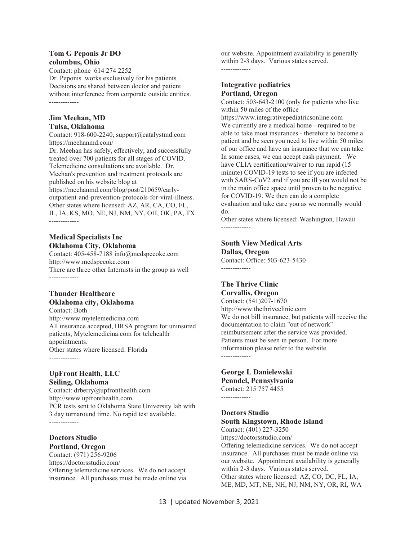#### **Tom G Peponis Jr DO columbus, Ohio**

Contact: phone 614 274 2252 Dr. Peponis works exclusively for his patients . Decisions are shared between doctor and patient without interference from corporate outside entities. -------------

### **Jim Meehan, MD Tulsa, Oklahoma**

Contact: 918-600-2240, support@catalystmd.com https://meehanmd.com/

Dr. Meehan has safely, effectively, and successfully treated over 700 patients for all stages of COVID. Telemedicine consultations are available. Dr. Meehan's prevention and treatment protocols are published on his website blog at https://meehanmd.com/blog/post/210659/early-

outpatient-and-prevention-protocols-for-viral-illness. Other states where licensed: AZ, AR, CA, CO, FL, IL, IA, KS, MO, NE, NJ, NM, NY, OH, OK, PA, TX -------------

### **Medical Specialists Inc Oklahoma City, Oklahoma**

Contact: 405-458-7188 info@medspecokc.com http://www.medspecokc.com There are three other Internists in the group as well -------------

### **Thunder Healthcare**

#### **Oklahoma city, Oklahoma**

Contact: Both http://www.mytelemedicina.com All insurance accepted, HRSA program for uninsured patients, Mytelemedicina.com for telehealth appointments. Other states where licensed: Florida -------------

### **UpFront Health, LLC Seiling, Oklahoma**

Contact: drberry@upfronthealth.com http://www.upfronthealth.com PCR tests sent to Oklahoma State University lab with 3 day turnaround time. No rapid test available. -------------

### **Doctors Studio Portland, Oregon**

Contact: (971) 256-9206 https://doctorsstudio.com/ Offering telemedicine services. We do not accept insurance. All purchases must be made online via our website. Appointment availability is generally within 2-3 days. Various states served. -------------

### **Integrative pediatrics Portland, Oregon**

Contact: 503-643-2100 (only for patients who live within 50 miles of the office https://www.integrativepediatricsonline.com We currently are a medical home - required to be able to take most insurances - therefore to become a patient and be seen you need to live within 50 miles of our office and have an insurance that we can take. In some cases, we can accept cash payment. We have CLIA certification/waiver to run rapid (15 minute) COVID-19 tests to see if you are infected with SARS-CoV2 and if you are ill you would not be in the main office space until proven to be negative for COVID-19. We then can do a complete evaluation and take care you as we normally would do.

Other states where licensed: Washington, Hawaii -------------

#### **South View Medical Arts Dallas, Oregon**

Contact: Office: 503-623-5430 -------------

### **The Thrive Clinic Corvallis, Oregon**

Contact: (541)207-1670 http://www.thethriveclinic.com We do not bill insurance, but patients will receive the documentation to claim "out of network" reimbursement after the service was provided. Patients must be seen in person. For more information please refer to the website. -------------

### **George L Danielewski Penndel, Pennsylvania**  Contact: 215 757 4455

-------------

### **Doctors Studio South Kingstown, Rhode Island**

Contact: (401) 227-3250 https://doctorsstudio.com/ Offering telemedicine services. We do not accept insurance. All purchases must be made online via our website. Appointment availability is generally within 2-3 days. Various states served. Other states where licensed: AZ, CO, DC, FL, IA, ME, MD, MT, NE, NH, NJ, NM, NY, OR, RI, WA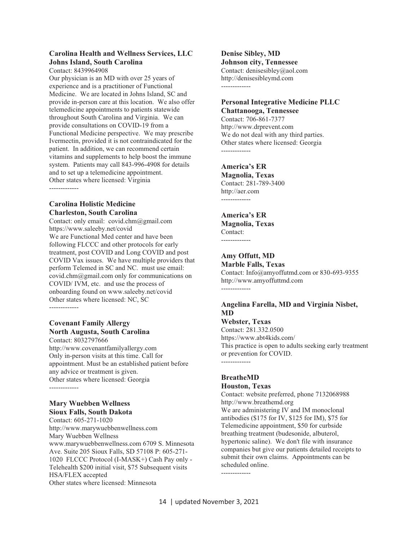#### **Carolina Health and Wellness Services, LLC Johns Island, South Carolina**

Contact: 8439964908

Our physician is an MD with over 25 years of experience and is a practitioner of Functional Medicine. We are located in Johns Island, SC and provide in-person care at this location. We also offer telemedicine appointments to patients statewide throughout South Carolina and Virginia. We can provide consultations on COVID-19 from a Functional Medicine perspective. We may prescribe Ivermectin, provided it is not contraindicated for the patient. In addition, we can recommend certain vitamins and supplements to help boost the immune system. Patients may call 843-996-4908 for details and to set up a telemedicine appointment. Other states where licensed: Virginia -------------

### **Carolina Holistic Medicine Charleston, South Carolina**

Contact: only email: covid.chm@gmail.com https://www.saleeby.net/covid We are Functional Med center and have been following FLCCC and other protocols for early treatment, post COVID and Long COVID and post COVID Vax issues. We have multiple providers that perform Telemed in SC and NC. must use email: covid.chm@gmail.com only for communications on COVID/ IVM, etc. and use the process of onboarding found on www.saleeby.net/covid Other states where licensed: NC, SC -------------

### **Covenant Family Allergy North Augusta, South Carolina**

Contact: 8032797666 http://www.covenantfamilyallergy.com Only in-person visits at this time. Call for appointment. Must be an established patient before any advice or treatment is given. Other states where licensed: Georgia -------------

### **Mary Wuebben Wellness Sioux Falls, South Dakota**

Contact: 605-271-1020 http://www.marywuebbenwellness.com Mary Wuebben Wellness www.marywuebbenwellness.com 6709 S. Minnesota Ave. Suite 205 Sioux Falls, SD 57108 P: 605-271- 1020 FLCCC Protocol (I-MASK+) Cash Pay only - Telehealth \$200 initial visit, \$75 Subsequent visits HSA/FLEX accepted Other states where licensed: Minnesota

**Denise Sibley, MD Johnson city, Tennessee**  Contact: denisesibley@aol.com http://denisesibleymd.com -------------

### **Personal Integrative Medicine PLLC Chattanooga, Tennessee**

Contact: 706-861-7377 http://www.drprevent.com We do not deal with any third parties. Other states where licensed: Georgia -------------

### **America's ER**

**Magnolia, Texas**  Contact: 281-789-3400 http://aer.com -------------

### **America's ER Magnolia, Texas**  Contact: -------------

**Amy Offutt, MD** 

**Marble Falls, Texas** 

Contact: Info@amyoffutmd.com or 830-693-9355 http://www.amyoffuttmd.com -------------

### **Angelina Farella, MD and Virginia Nisbet, MD**

**Webster, Texas**  Contact: 281.332.0500 https://www.abt4kids.com/ This practice is open to adults seeking early treatment or prevention for COVID. -------------

### **BreatheMD Houston, Texas**

Contact: website preferred, phone 7132068988 http://www.breathemd.org

We are administering IV and IM monoclonal antibodies (\$175 for IV, \$125 for IM), \$75 for Telemedicine appointment, \$50 for curbside breathing treatment (budesonide, albuterol, hypertonic saline). We don't file with insurance companies but give our patients detailed receipts to submit their own claims. Appointments can be scheduled online.

-------------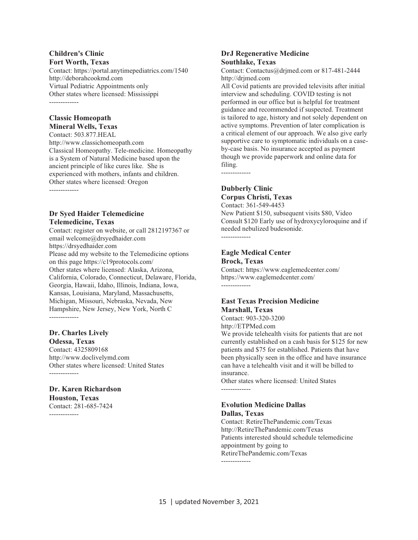#### **Children's Clinic Fort Worth, Texas**

Contact: https://portal.anytimepediatrics.com/1540 http://deborahcookmd.com Virtual Pediatric Appointments only Other states where licensed: Mississippi -------------

#### **Classic Homeopath Mineral Wells, Texas**

Contact: 503.877.HEAL http://www.classichomeopath.com Classical Homeopathy. Tele-medicine. Homeopathy is a System of Natural Medicine based upon the ancient principle of like cures like. She is experienced with mothers, infants and children. Other states where licensed: Oregon -------------

### **Dr Syed Haider Telemedicine Telemedicine, Texas**

Contact: register on website, or call 2812197367 or email welcome@drsyedhaider.com https://drsyedhaider.com Please add my website to the Telemedicine options on this page https://c19protocols.com/ Other states where licensed: Alaska, Arizona, California, Colorado, Connecticut, Delaware, Florida, Georgia, Hawaii, Idaho, Illinois, Indiana, Iowa, Kansas, Louisiana, Maryland, Massachusetts, Michigan, Missouri, Nebraska, Nevada, New Hampshire, New Jersey, New York, North C -------------

### **Dr. Charles Lively Odessa, Texas**

Contact: 4325809168 http://www.doclivelymd.com Other states where licensed: United States -------------

### **Dr. Karen Richardson Houston, Texas**

Contact: 281-685-7424 -------------

### **DrJ Regenerative Medicine Southlake, Texas**

Contact: Contactus@drjmed.com or 817-481-2444 http://drjmed.com

All Covid patients are provided televisits after initial interview and scheduling. COVID testing is not performed in our office but is helpful for treatment guidance and recommended if suspected. Treatment is tailored to age, history and not solely dependent on active symptoms. Prevention of later complication is a critical element of our approach. We also give early supportive care to symptomatic individuals on a caseby-case basis. No insurance accepted as payment though we provide paperwork and online data for filing.

## **Dubberly Clinic**

-------------

## **Corpus Christi, Texas**

Contact: 361-549-4453 New Patient \$150, subsequent visits \$80, Video Consult \$120 Early use of hydroxycyloroquine and if needed nebulized budesonide. -------------

## **Eagle Medical Center**

**Brock, Texas** 

Contact: https://www.eaglemedcenter.com/ https://www.eaglemedcenter.com/ -------------

### **East Texas Precision Medicine Marshall, Texas**

Contact: 903-320-3200

http://ETPMed.com

We provide telehealth visits for patients that are not currently established on a cash basis for \$125 for new patients and \$75 for established. Patients that have been physically seen in the office and have insurance can have a telehealth visit and it will be billed to insurance.

Other states where licensed: United States -------------

#### **Evolution Medicine Dallas Dallas, Texas**

Contact: RetireThePandemic.com/Texas http://RetireThePandemic.com/Texas Patients interested should schedule telemedicine appointment by going to RetireThePandemic.com/Texas -------------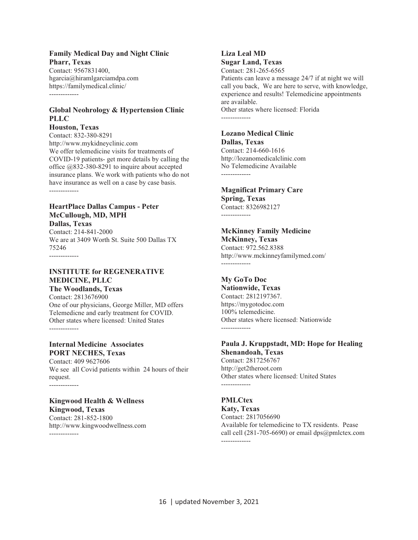### **Family Medical Day and Night Clinic Pharr, Texas**

Contact: 9567831400, hgarcia@hiramlgarciamdpa.com https://familymedical.clinic/ -------------

### **Global Neohrology & Hypertension Clinic PLLC**

**Houston, Texas**  Contact: 832-380-8291 http://www.mykidneyclinic.com We offer telemedicine visits for treatments of COVID-19 patients- get more details by calling the office @832-380-8291 to inquire about accepted insurance plans. We work with patients who do not have insurance as well on a case by case basis.

-------------

#### **HeartPlace Dallas Campus - Peter McCullough, MD, MPH Dallas, Texas**

Contact: 214-841-2000 We are at 3409 Worth St. Suite 500 Dallas TX 75246 -------------

### **INSTITUTE for REGENERATIVE MEDICINE, PLLC**

**The Woodlands, Texas**  Contact: 2813676900 One of our physicians, George Miller, MD offers Telemedicne and early treatment for COVID. Other states where licensed: United States -------------

### **Internal Medicine Associates PORT NECHES, Texas**

Contact: 409 9627606 We see all Covid patients within 24 hours of their request. -------------

### **Kingwood Health & Wellness Kingwood, Texas**

Contact: 281-852-1800 http://www.kingwoodwellness.com -------------

#### **Liza Leal MD Sugar Land, Texas**

Contact: 281-265-6565 Patients can leave a message 24/7 if at night we will call you back, We are here to serve, with knowledge, experience and results! Telemedicine appointments are available. Other states where licensed: Florida -------------

#### **Lozano Medical Clinic Dallas, Texas**

Contact: 214-660-1616 http://lozanomedicalclinic.com No Telemedicine Available -------------

### **Magnificat Primary Care Spring, Texas**

Contact: 8326982127 -------------

## **McKinney Family Medicine**

**McKinney, Texas**  Contact: 972.562.8388 http://www.mckinneyfamilymed.com/ -------------

### **My GoTo Doc**

**Nationwide, Texas**  Contact: 2812197367. https://mygotodoc.com 100% telemedicine. Other states where licensed: Nationwide -------------

### **Paula J. Kruppstadt, MD: Hope for Healing Shenandoah, Texas**

Contact: 2817256767 http://get2theroot.com Other states where licensed: United States -------------

### **PMLCtex**

**Katy, Texas**  Contact: 2817056690 Available for telemedicine to TX residents. Pease call cell (281-705-6690) or email dps@pmlctex.com -------------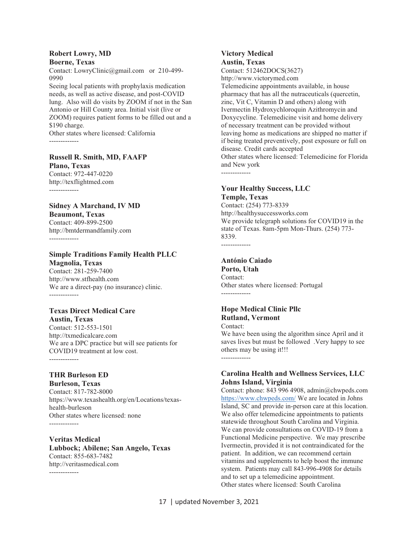#### **Robert Lowry, MD Boerne, Texas**

Contact: LowryClinic@gmail.com or 210-499- 0990

Seeing local patients with prophylaxis medication needs, as well as active disease, and post-COVID lung. Also will do visits by ZOOM if not in the San Antonio or Hill County area. Initial visit (live or ZOOM) requires patient forms to be filled out and a \$190 charge.

Other states where licensed: California -------------

### **Russell R. Smith, MD, FAAFP**

**Plano, Texas**  Contact: 972-447-0220 http://texflightmed.com -------------

#### **Sidney A Marchand, IV MD Beaumont, Texas**

Contact: 409-899-2500 http://bmtdermandfamily.com -------------

### **Simple Traditions Family Health PLLC Magnolia, Texas**

Contact: 281-259-7400 http://www.stfhealth.com We are a direct-pay (no insurance) clinic. -------------

### **Texas Direct Medical Care**

**Austin, Texas**  Contact: 512-553-1501 http://txmedicalcare.com We are a DPC practice but will see patients for COVID19 treatment at low cost. -------------

### **THR Burleson ED**

**Burleson, Texas**  Contact: 817-782-8000 https://www.texashealth.org/en/Locations/texashealth-burleson Other states where licensed: none -------------

**Veritas Medical Lubbock; Abilene; San Angelo, Texas**  Contact: 855-683-7482 http://veritasmedical.com -------------

### **Victory Medical Austin, Texas**

Contact: 512462DOCS(3627) http://www.victorymed.com

Telemedicine appointments available, in house pharmacy that has all the nutraceuticals (quercetin, zinc, Vit C, Vitamin D and others) along with Ivermectin Hydroxychloroquin Azithromycin and Doxycycline. Telemedicine visit and home delivery of necessary treatment can be provided without leaving home as medications are shipped no matter if if being treated preventively, post exposure or full on disease. Credit cards accepted Other states where licensed: Telemedicine for Florida and New york

#### **Your Healthy Success, LLC Temple, Texas**

Contact: (254) 773-8339 http://healthysuccessworks.com We provide telegraph solutions for COVID19 in the state of Texas. 8am-5pm Mon-Thurs. (254) 773- 8339. -------------

### **António Caiado**

-------------

**Porto, Utah**  Contact: Other states where licensed: Portugal -------------

### **Hope Medical Clinic Pllc Rutland, Vermont**

Contact: We have been using the algorithm since April and it saves lives but must be followed .Very happy to see others may be using it!!! -------------

### **Carolina Health and Wellness Services, LLC Johns Island, Virginia**

Contact: phone: 843 996 4908, admin@chwpeds.com https://www.chwpeds.com/ We are located in Johns Island, SC and provide in-person care at this location. We also offer telemedicine appointments to patients statewide throughout South Carolina and Virginia. We can provide consultations on COVID-19 from a Functional Medicine perspective. We may prescribe Ivermectin, provided it is not contraindicated for the patient. In addition, we can recommend certain vitamins and supplements to help boost the immune system. Patients may call 843-996-4908 for details and to set up a telemedicine appointment. Other states where licensed: South Carolina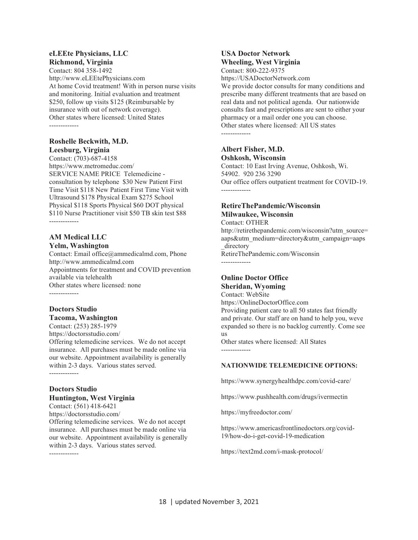#### **eLEEte Physicians, LLC Richmond, Virginia**

Contact: 804 358-1492 http://www.eLEEtePhysicians.com At home Covid treatment! With in person nurse visits and monitoring. Initial evaluation and treatment \$250, follow up visits \$125 (Reimbursable by insurance with out of network coverage). Other states where licensed: United States -------------

### **Roshelle Beckwith, M.D. Leesburg, Virginia**

Contact: (703)-687-4158 https://www.metromeduc.com/ SERVICE NAME PRICE Telemedicine consultation by telephone \$30 New Patient First Time Visit \$118 New Patient First Time Visit with Ultrasound \$178 Physical Exam \$275 School Physical \$118 Sports Physical \$60 DOT physical \$110 Nurse Practitioner visit \$50 TB skin test \$88 -------------

### **AM Medical LLC Yelm, Washington**

Contact: Email office@ammedicalmd.com, Phone http://www.ammedicalmd.com Appointments for treatment and COVID prevention available via telehealth Other states where licensed: none -------------

### **Doctors Studio Tacoma, Washington**

Contact: (253) 285-1979

https://doctorsstudio.com/

Offering telemedicine services. We do not accept insurance. All purchases must be made online via our website. Appointment availability is generally within 2-3 days. Various states served.

-------------

### **Doctors Studio Huntington, West Virginia**

Contact: (561) 418-6421 https://doctorsstudio.com/ Offering telemedicine services. We do not accept insurance. All purchases must be made online via our website. Appointment availability is generally within 2-3 days. Various states served.

-------------

### **USA Doctor Network Wheeling, West Virginia**

Contact: 800-222-9375 https://USADoctorNetwork.com

We provide doctor consults for many conditions and prescribe many different treatments that are based on real data and not political agenda. Our nationwide consults fast and prescriptions are sent to either your pharmacy or a mail order one you can choose. Other states where licensed: All US states -------------

### **Albert Fisher, M.D. Oshkosh, Wisconsin**

Contact: 10 East Irving Avenue, Oshkosh, Wi. 54902. 920 236 3290 Our office offers outpatient treatment for COVID-19. -------------

### **RetireThePandemic/Wisconsin Milwaukee, Wisconsin**

### Contact: OTHER

http://retirethepandemic.com/wisconsin?utm\_source= aaps&utm\_medium=directory&utm\_campaign=aaps directory

RetireThePandemic.com/Wisconsin -------------

### **Online Doctor Office Sheridan, Wyoming**

Contact: WebSite

https://OnlineDoctorOffice.com Providing patient care to all 50 states fast friendly and private. Our staff are on hand to help you, weve expanded so there is no backlog currently. Come see us

Other states where licensed: All States -------------

### **NATIONWIDE TELEMEDICINE OPTIONS:**

https://www.synergyhealthdpc.com/covid-care/

https://www.pushhealth.com/drugs/ivermectin

https://myfreedoctor.com/

https://www.americasfrontlinedoctors.org/covid-19/how-do-i-get-covid-19-medication

https://text2md.com/i-mask-protocol/